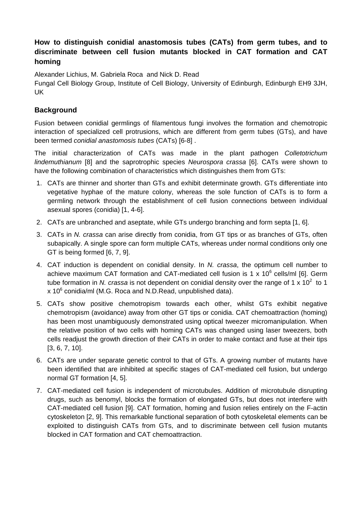## **How to distinguish conidial anastomosis tubes (CATs) from germ tubes, and to discriminate between cell fusion mutants blocked in CAT formation and CAT homing**

Alexander Lichius, M. Gabriela Roca and Nick D. Read

Fungal Cell Biology Group, Institute of Cell Biology, University of Edinburgh, Edinburgh EH9 3JH, UK

## **Background**

Fusion between conidial germlings of filamentous fungi involves the formation and chemotropic interaction of specialized cell protrusions, which are different from germ tubes (GTs), and have been termed *conidial anastomosis tubes* (CATs) [6-8] .

The initial characterization of CATs was made in the plant pathogen *Colletotrichum lindemuthianum* [8] and the saprotrophic species *Neurospora crassa* [6]. CATs were shown to have the following combination of characteristics which distinguishes them from GTs:

- 1. CATs are thinner and shorter than GTs and exhibit determinate growth. GTs differentiate into vegetative hyphae of the mature colony, whereas the sole function of CATs is to form a germling network through the establishment of cell fusion connections between individual asexual spores (conidia) [1, 4-6].
- 2. CATs are unbranched and aseptate, while GTs undergo branching and form septa [1, 6].
- 3. CATs in *N. crassa* can arise directly from conidia, from GT tips or as branches of GTs, often subapically. A single spore can form multiple CATs, whereas under normal conditions only one GT is being formed [6, 7, 9].
- 4. CAT induction is dependent on conidial density. In *N. crassa*, the optimum cell number to achieve maximum CAT formation and CAT-mediated cell fusion is 1 x  $10^6$  cells/ml [6]. Germ tube formation in N. crassa is not dependent on conidial density over the range of 1 x 10<sup>2</sup> to 1 x 10 $^6$  conidia/ml (M.G. Roca and N.D.Read, unpublished data).
- 5. CATs show positive chemotropism towards each other, whilst GTs exhibit negative chemotropism (avoidance) away from other GT tips or conidia. CAT chemoattraction (homing) has been most unambiguously demonstrated using optical tweezer micromanipulation. When the relative position of two cells with homing CATs was changed using laser tweezers, both cells readjust the growth direction of their CATs in order to make contact and fuse at their tips [3, 6, 7, 10].
- 6. CATs are under separate genetic control to that of GTs. A growing number of mutants have been identified that are inhibited at specific stages of CAT-mediated cell fusion, but undergo normal GT formation [4, 5].
- 7. CAT-mediated cell fusion is independent of microtubules. Addition of microtubule disrupting drugs, such as benomyl, blocks the formation of elongated GTs, but does not interfere with CAT-mediated cell fusion [9]. CAT formation, homing and fusion relies entirely on the F-actin cytoskeleton [2, 9]. This remarkable functional separation of both cytoskeletal elements can be exploited to distinguish CATs from GTs, and to discriminate between cell fusion mutants blocked in CAT formation and CAT chemoattraction.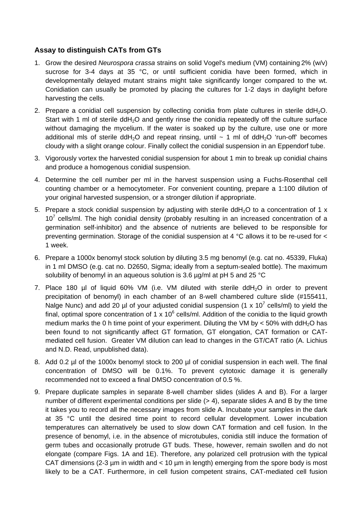## **Assay to distinguish CATs from GTs**

- 1. Grow the desired *Neurospora crassa* strains on solid Vogel's medium (VM) containing 2% (w/v) sucrose for 3-4 days at 35 °C, or until sufficient conidia have been formed, which in developmentally delayed mutant strains might take significantly longer compared to the wt. Conidiation can usually be promoted by placing the cultures for 1-2 days in daylight before harvesting the cells.
- 2. Prepare a conidial cell suspension by collecting conidia from plate cultures in sterile ddH2O. Start with 1 ml of sterile  $ddH<sub>2</sub>O$  and gently rinse the conidia repeatedly off the culture surface without damaging the mycelium. If the water is soaked up by the culture, use one or more additional mls of sterile ddH<sub>2</sub>O and repeat rinsing, until  $\sim$  1 ml of ddH<sub>2</sub>O 'run-off' becomes cloudy with a slight orange colour. Finally collect the conidial suspension in an Eppendorf tube.
- 3. Vigorously vortex the harvested conidial suspension for about 1 min to break up conidial chains and produce a homogenous conidial suspension.
- 4. Determine the cell number per ml in the harvest suspension using a Fuchs-Rosenthal cell counting chamber or a hemocytometer. For convenient counting, prepare a 1:100 dilution of your original harvested suspension, or a stronger dilution if appropriate.
- 5. Prepare a stock conidial suspension by adjusting with sterile ddH<sub>2</sub>O to a concentration of 1 x  $10<sup>7</sup>$  cells/ml. The high conidial density (probably resulting in an increased concentration of a germination self-inhibitor) and the absence of nutrients are believed to be responsible for preventing germination. Storage of the conidial suspension at 4 °C allows it to be re-used for < 1 week.
- 6. Prepare a 1000x benomyl stock solution by diluting 3.5 mg benomyl (e.g. cat no. 45339, Fluka) in 1 ml DMSO (e.g. cat no. D2650, Sigma; ideally from a septum-sealed bottle). The maximum solubility of benomyl in an aqueous solution is 3.6 µg/ml at pH 5 and 25 °C
- 7. Place 180 µl of liquid 60% VM (i.e. VM diluted with sterile ddH2O in order to prevent precipitation of benomyl) in each chamber of an 8-well chambered culture slide (#155411, Nalge Nunc) and add 20 µl of your adjusted conidial suspension (1 x 10<sup>7</sup> cells/ml) to yield the final, optimal spore concentration of 1 x 10 $^6$  cells/ml. Addition of the conidia to the liquid growth medium marks the 0 h time point of your experiment. Diluting the VM by  $<$  50% with ddH<sub>2</sub>O has been found to not significantly affect GT formation, GT elongation, CAT formation or CATmediated cell fusion. Greater VM dilution can lead to changes in the GT/CAT ratio (A. Lichius and N.D. Read, unpublished data).
- 8. Add 0.2 µl of the 1000x benomyl stock to 200 µl of conidial suspension in each well. The final concentration of DMSO will be 0.1%. To prevent cytotoxic damage it is generally recommended not to exceed a final DMSO concentration of 0.5 %.
- 9. Prepare duplicate samples in separate 8-well chamber slides (slides A and B). For a larger number of different experimental conditions per slide  $(> 4)$ , separate slides A and B by the time it takes you to record all the necessary images from slide A. Incubate your samples in the dark at 35 °C until the desired time point to record cellular development. Lower incubation temperatures can alternatively be used to slow down CAT formation and cell fusion. In the presence of benomyl, i.e. in the absence of microtubules, conidia still induce the formation of germ tubes and occasionally protrude GT buds. These, however, remain swollen and do not elongate (compare Figs. 1A and 1E). Therefore, any polarized cell protrusion with the typical CAT dimensions (2-3  $\mu$ m in width and < 10  $\mu$ m in length) emerging from the spore body is most likely to be a CAT. Furthermore, in cell fusion competent strains, CAT-mediated cell fusion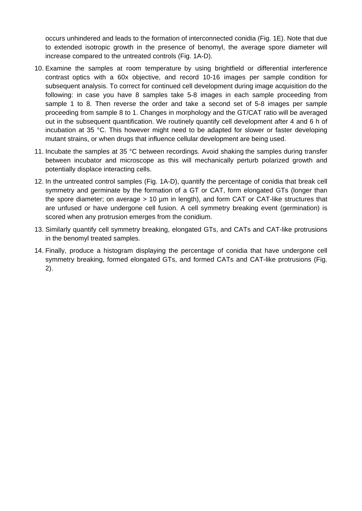occurs unhindered and leads to the formation of interconnected conidia (Fig. 1E). Note that due to extended isotropic growth in the presence of benomyl, the average spore diameter will increase compared to the untreated controls (Fig. 1A-D).

- 10. Examine the samples at room temperature by using brightfield or differential interference contrast optics with a 60x objective, and record 10-16 images per sample condition for subsequent analysis. To correct for continued cell development during image acquisition do the following: in case you have 8 samples take 5-8 images in each sample proceeding from sample 1 to 8. Then reverse the order and take a second set of 5-8 images per sample proceeding from sample 8 to 1. Changes in morphology and the GT/CAT ratio will be averaged out in the subsequent quantification. We routinely quantify cell development after 4 and 6 h of incubation at 35 °C. This however might need to be adapted for slower or faster developing mutant strains, or when drugs that influence cellular development are being used.
- 11. Incubate the samples at 35 °C between recordings. Avoid shaking the samples during transfer between incubator and microscope as this will mechanically perturb polarized growth and potentially displace interacting cells.
- 12. In the untreated control samples (Fig. 1A-D), quantify the percentage of conidia that break cell symmetry and germinate by the formation of a GT or CAT, form elongated GTs (longer than the spore diameter; on average > 10 µm in length), and form CAT or CAT-like structures that are unfused or have undergone cell fusion. A cell symmetry breaking event (germination) is scored when any protrusion emerges from the conidium.
- 13. Similarly quantify cell symmetry breaking, elongated GTs, and CATs and CAT-like protrusions in the benomyl treated samples.
- 14. Finally, produce a histogram displaying the percentage of conidia that have undergone cell symmetry breaking, formed elongated GTs, and formed CATs and CAT-like protrusions (Fig. 2).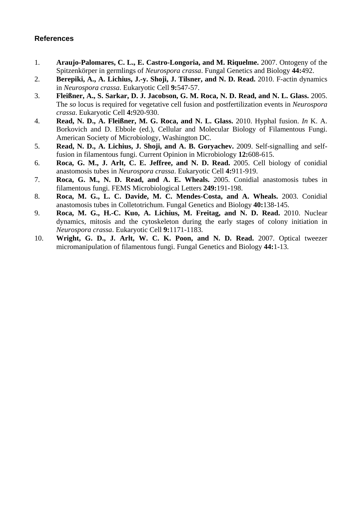## **References**

- 1. **Araujo-Palomares, C. L., E. Castro-Longoria, and M. Riquelme.** 2007. Ontogeny of the Spitzenkörper in germlings of *Neurospora crassa*. Fungal Genetics and Biology **44:**492.
- 2. **Berepiki, A., A. Lichius, J.-y. Shoji, J. Tilsner, and N. D. Read.** 2010. F-actin dynamics in *Neurospora crassa*. Eukaryotic Cell **9:**547-57.
- 3. **Fleißner, A., S. Sarkar, D. J. Jacobson, G. M. Roca, N. D. Read, and N. L. Glass.** 2005. The *so* locus is required for vegetative cell fusion and postfertilization events in *Neurospora crassa*. Eukaryotic Cell **4:**920-930.
- 4. **Read, N. D., A. Fleißner, M. G. Roca, and N. L. Glass.** 2010. Hyphal fusion. *In* K. A. Borkovich and D. Ebbole (ed.), Cellular and Molecular Biology of Filamentous Fungi. American Society of Microbiology, Washington DC.
- 5. **Read, N. D., A. Lichius, J. Shoji, and A. B. Goryachev.** 2009. Self-signalling and selffusion in filamentous fungi. Current Opinion in Microbiology **12:**608-615.
- 6. **Roca, G. M., J. Arlt, C. E. Jeffree, and N. D. Read.** 2005. Cell biology of conidial anastomosis tubes in *Neurospora crassa*. Eukaryotic Cell **4:**911-919.
- 7. **Roca, G. M., N. D. Read, and A. E. Wheals.** 2005. Conidial anastomosis tubes in filamentous fungi. FEMS Microbiological Letters **249:**191-198.
- 8. **Roca, M. G., L. C. Davide, M. C. Mendes-Costa, and A. Wheals.** 2003. Conidial anastomosis tubes in Colletotrichum. Fungal Genetics and Biology **40:**138-145.
- 9. **Roca, M. G., H.-C. Kuo, A. Lichius, M. Freitag, and N. D. Read.** 2010. Nuclear dynamics, mitosis and the cytoskeleton during the early stages of colony initiation in *Neurospora crassa*. Eukaryotic Cell **9:**1171-1183.
- 10. **Wright, G. D., J. Arlt, W. C. K. Poon, and N. D. Read.** 2007. Optical tweezer micromanipulation of filamentous fungi. Fungal Genetics and Biology **44:**1-13.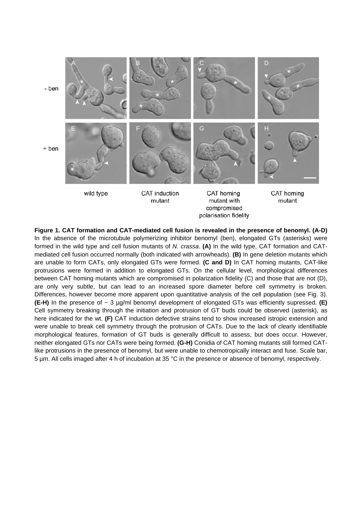

**Figure 1. CAT formation and CAT-mediated cell fusion is revealed in the presence of benomyl. (A-D)**  In the absence of the microtubule polymerizing inhibitor benomyl (ben), elongated GTs (asterisks) were formed in the wild type and cell fusion mutants of *N. crassa*. **(A)** In the wild type, CAT formation and CATmediated cell fusion occurred normally (both indicated with arrowheads). **(B)** In gene deletion mutants which are unable to form CATs, only elongated GTs were formed. **(C and D)** In CAT homing mutants, CAT-like protrusions were formed in addition to elongated GTs. On the cellular level, morphological differences between CAT homing mutants which are compromised in polarization fidelity (C) and those that are not (D), are only very subtle, but can lead to an increased spore diameter before cell symmetry is broken. Differences, however become more apparent upon quantitative analysis of the cell population (see Fig. 3). **(E-H)** In the presence of ~ 3 µg/ml benomyl development of elongated GTs was efficiently supressed. **(E)**  Cell symmetry breaking through the initiation and protrusion of GT buds could be observed (asterisk), as here indicated for the wt. **(F)** CAT induction defective strains tend to show increased istropic extension and were unable to break cell symmetry through the protrusion of CATs. Due to the lack of clearly identifiable morphological features, formation of GT buds is generally difficult to assess, but does occur. However, neither elongated GTs nor CATs were being formed. **(G-H)** Conidia of CAT homing mutants still formed CATlike protrusions in the presence of benomyl, but were unable to chemotropically interact and fuse. Scale bar, 5 µm. All cells imaged after 4 h of incubation at 35 °C in the presence or absence of benomyl, respectively.